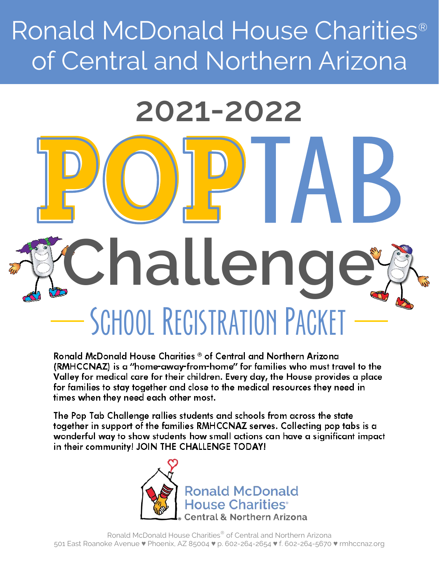## Ronald McDonald House Charities® of Central and Northern Arizona

# SCHOOL REGISTRATION PACKET **Challenge 2021-2022**

Ronald McDonald House Charities ® of Central and Northern Arizona **(RMHCCNAZ)** is a "home-away-from-home" for families who must travel to the Valley for medical care for their children. Every day, the House provides a place for families to stay together and close to the medical resources they need in times when they need each other most.

The Pop Tab Challenge rallies students and schools from across the state together in support of the families RMHCCNAZ serves. Collecting pop tabs is a wonderful way to show students how small actions can have a significant impact in their community! JOIN THE CHALLENGE TODAY!



Ronald McDonald House Charities® of Central and Northern Arizona 501 East Roanoke Avenue ♥ Phoenix, AZ 85004 ♥ p. 602-264-2654 ♥ f. 602-264-5670 ♥ rmhccnaz.org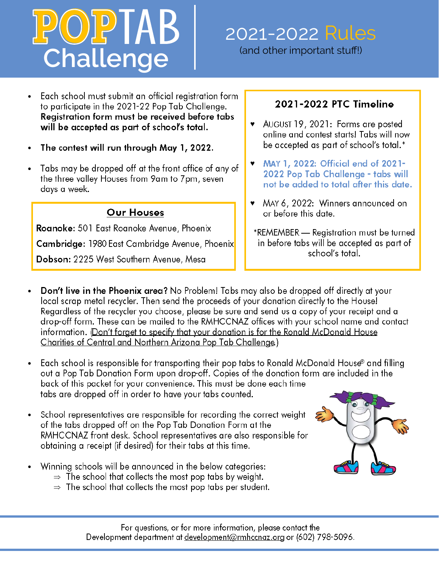## **Challenge**

## 2021-2022 Rules

(and other important stuff!)

- Each school must submit an official registration form • to participate in the 2021-22 Pop Tab Challenge. Registration form must be received before tabs will be accepted as part of school's total.
- The contest will run through May 1, 2022. •
- Tabs may be dropped off at the front office of any of • the three valley Houses from 9am to 7pm, seven days a week.

#### **Our Houses**

Roanoke: 501 East Roanoke Avenue, Phoenix Cambridge: 1980 East Cambridge Avenue, Phoenix

Dobson: 2225 West Southern Avenue, Mesa

#### **-**

- ◆ AUGUST 19, 2021: Forms are posted online and contest starts! Tabs will now be accepted as part of school's total.\*
- **•** MAY 1, 2022: Official end of 2021-2022 Pop Tab Challenge - tabs will not be added to total after this date.
- MAY 6, 2022: Winners announced on or before this date.
- \*REMEMBER Registration must be turned in before tabs will be accepted as part of school's total.
- Don't live in the Phoenix area? No Problem! Tabs may also be dropped off directly at your • local scrap metal recycler. Then send the proceeds of your donation directly to the House! Regardless of the recycler you choose, please be sure and send us a copy of your receipt and a drop-off form. These can be mailed to the RMHCCNAZ offices with your school name and contact information. (Don't forget to specify that your donation is for the Ronald McDonald House Charities of Central and Northern Arizona Pop Tab Challenge.)
- Each school is responsible for transporting their pop tabs to Ronald McDonald House® and filling • out a Pop Tab Donation Form upon drop-off. Copies of the donation form are included in the back of this packet for your convenience. This must be done each time tabs are dropped off in order to have your tabs counted.
- School representatives are responsible for recording the correct weight • of the tabs dropped off on the Pop Tab Donation Form at the RMHCCNAZ front desk. School representatives are also responsible for obtaining a receipt (if desired) for their tabs at this time.
- Winning schools will be announced in the below categories: •
	- $\Rightarrow$  The school that collects the most pop tabs by weight.
	- $\Rightarrow$  The school that collects the most pop tabs per student.



For questions, or for more information, please contact the Development department at development@rmhccnaz.org or (602) 798-5096.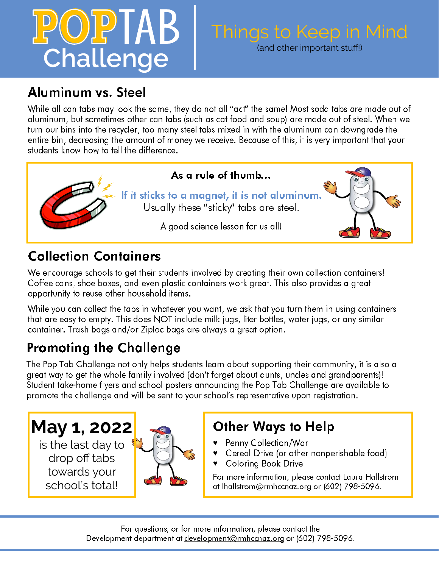## $P(O)$   $P$   $\mid$   $AB$ **Challenge**

## Things to Keep in Mind

(and other important stuff!)

## Aluminum vs. Steel

While all can tabs may look the same, they do not all "act" the same! Most soda tabs are made out of aluminum, but sometimes other can tabs (such as cat food and soup) are made out of steel. When we turn our bins into the recycler, too many steel tabs mixed in with the aluminum can downgrade the entire bin, decreasing the amount of money we receive. Because of this, it is very important that your students know how to tell the difference.



## **Collection Containers**

We encourage schools to get their students involved by creating their own collection containers! Coffee cans, shoe boxes, and even plastic containers work great. This also provides a great opportunity to reuse other household items.

While you can collect the tabs in whatever you want, we ask that you turn them in using containers that are easy to empty. This does NOT include milk jugs, liter bottles, water jugs, or any similar container. Trash bags and/or Ziploc bags are always a great option.

## **Promoting the Challenge**

The Pop Tab Challenge not only helps students learn about supporting their community, it is also a great way to get the whole family involved (don't forget about aunts, uncles and grandparents)! Student take-home flyers and school posters announcing the Pop Tab Challenge are available to promote the challenge and will be sent to your school's representative upon registration.

**May 1, 2022** is the last day to drop off tabs towards your school's total!



## **Other Ways to Help**

- ▼ Penny Collection/War
- Cereal Drive (or other nonperishable food)
- Colorina Book Drive ♥

For more information, please contact Laura Hallstrom at lhallstrom@rmhccnaz.org or (602) 798-5096.

For questions, or for more information, please contact the Development department at development@rmhccnaz.org or (602) 798-5096.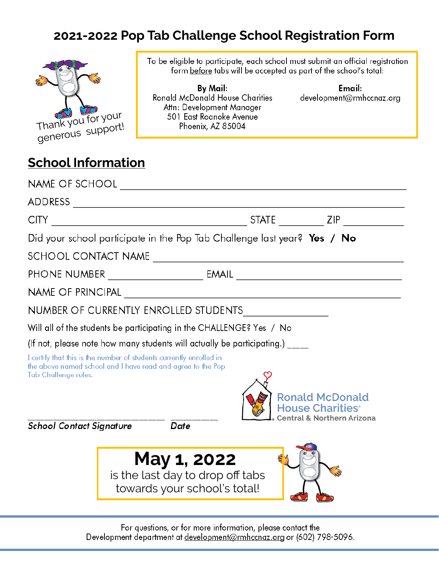## **2021-2022 Pop Tab Challenge School Registration Form**



To be eligible to participate, each school must submit an official registration form before tabs will be accepted as part of the school's total:

**By Mail: Ronald McDonald House Charities** Attn: Development Manager 501 East Roanoke Avenue Phoenix, AZ 85004

Email: development@rmhccnaz.org

### **School Information**

|                                 |                                                                                                                                    |  | STATE ZIP                                                                                  |
|---------------------------------|------------------------------------------------------------------------------------------------------------------------------------|--|--------------------------------------------------------------------------------------------|
|                                 | Did your school participate in the Pop Tab Challenge last year? Yes / No                                                           |  |                                                                                            |
|                                 |                                                                                                                                    |  |                                                                                            |
|                                 |                                                                                                                                    |  |                                                                                            |
|                                 |                                                                                                                                    |  |                                                                                            |
|                                 |                                                                                                                                    |  |                                                                                            |
|                                 | Will all of the students be participating in the CHALLENGE? Yes / No                                                               |  |                                                                                            |
|                                 | (If not, please note how many students will actually be participating.)                                                            |  |                                                                                            |
| Tab Challenge rules.            | I certify that this is the number of students currently enrolled in<br>the above named school and I have read and agree to the Pop |  | <b>Ronald McDonald</b><br><b>House Charities®</b><br><b>Central &amp; Northern Arizona</b> |
| <b>School Contact Signature</b> | Date                                                                                                                               |  |                                                                                            |
|                                 | <b>May 1, 2022</b><br>is the last day to drop off tabs<br>towards your school's total!                                             |  |                                                                                            |

For questions, or for more information, please contact the Development department at development@rmhccnaz.org or (602) 798-5096.